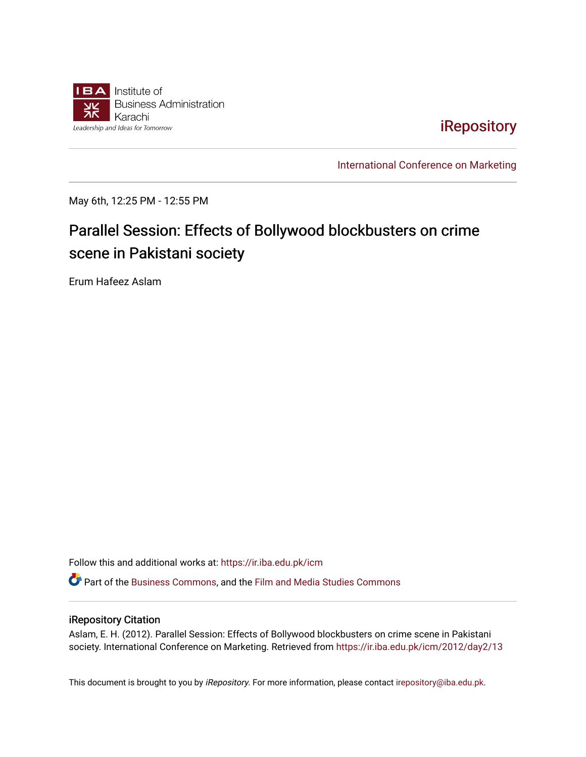

## [iRepository](https://ir.iba.edu.pk/)

[International Conference on Marketing](https://ir.iba.edu.pk/icm) 

May 6th, 12:25 PM - 12:55 PM

# Parallel Session: Effects of Bollywood blockbusters on crime scene in Pakistani society

Erum Hafeez Aslam

Follow this and additional works at: [https://ir.iba.edu.pk/icm](https://ir.iba.edu.pk/icm?utm_source=ir.iba.edu.pk%2Ficm%2F2012%2Fday2%2F13&utm_medium=PDF&utm_campaign=PDFCoverPages) 

Part of the [Business Commons](http://network.bepress.com/hgg/discipline/622?utm_source=ir.iba.edu.pk%2Ficm%2F2012%2Fday2%2F13&utm_medium=PDF&utm_campaign=PDFCoverPages), and the [Film and Media Studies Commons](http://network.bepress.com/hgg/discipline/563?utm_source=ir.iba.edu.pk%2Ficm%2F2012%2Fday2%2F13&utm_medium=PDF&utm_campaign=PDFCoverPages) 

#### iRepository Citation

Aslam, E. H. (2012). Parallel Session: Effects of Bollywood blockbusters on crime scene in Pakistani society. International Conference on Marketing. Retrieved from [https://ir.iba.edu.pk/icm/2012/day2/13](https://ir.iba.edu.pk/icm/2012/day2/13?utm_source=ir.iba.edu.pk%2Ficm%2F2012%2Fday2%2F13&utm_medium=PDF&utm_campaign=PDFCoverPages)

This document is brought to you by iRepository. For more information, please contact [irepository@iba.edu.pk](mailto:irepository@iba.edu.pk).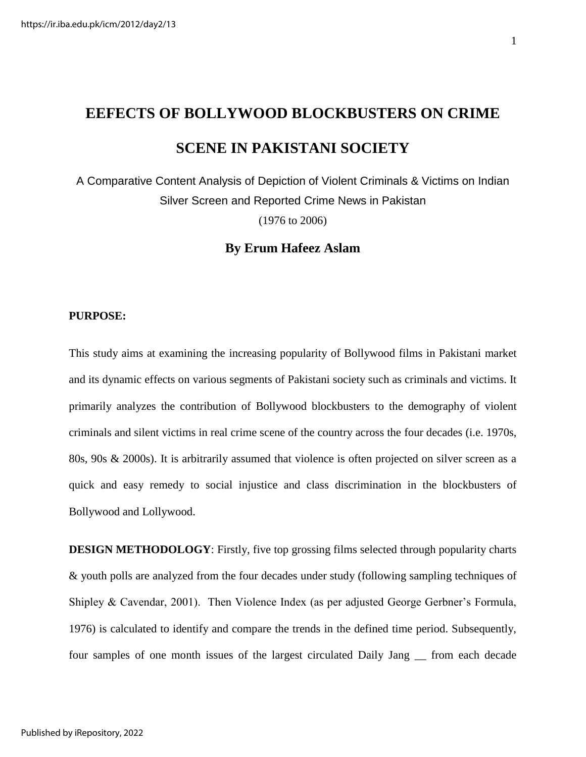# **EEFECTS OF BOLLYWOOD BLOCKBUSTERS ON CRIME SCENE IN PAKISTANI SOCIETY**

A Comparative Content Analysis of Depiction of Violent Criminals & Victims on Indian Silver Screen and Reported Crime News in Pakistan (1976 to 2006)

**By Erum Hafeez Aslam** 

#### **PURPOSE:**

This study aims at examining the increasing popularity of Bollywood films in Pakistani market and its dynamic effects on various segments of Pakistani society such as criminals and victims. It primarily analyzes the contribution of Bollywood blockbusters to the demography of violent criminals and silent victims in real crime scene of the country across the four decades (i.e. 1970s, 80s, 90s & 2000s). It is arbitrarily assumed that violence is often projected on silver screen as a quick and easy remedy to social injustice and class discrimination in the blockbusters of Bollywood and Lollywood.

**DESIGN METHODOLOGY**: Firstly, five top grossing films selected through popularity charts & youth polls are analyzed from the four decades under study (following sampling techniques of Shipley & Cavendar, 2001). Then Violence Index (as per adjusted George Gerbner's Formula, 1976) is calculated to identify and compare the trends in the defined time period. Subsequently, four samples of one month issues of the largest circulated Daily Jang \_\_ from each decade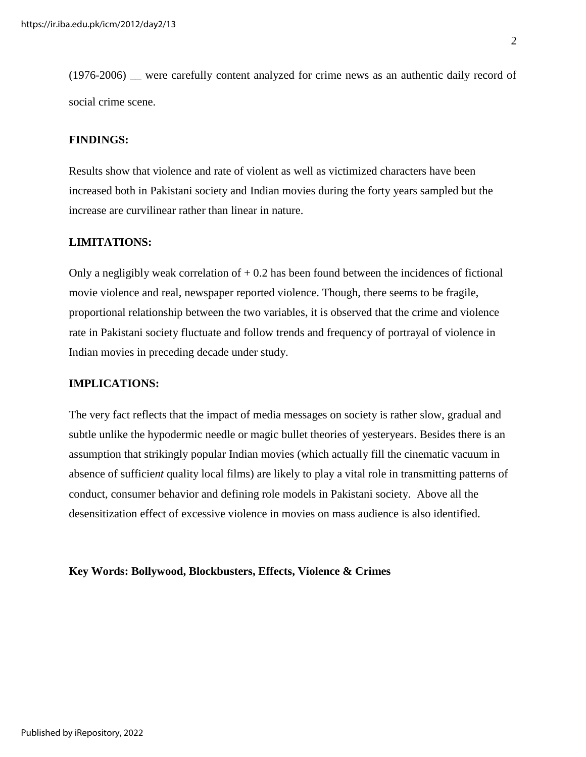(1976-2006) \_\_ were carefully content analyzed for crime news as an authentic daily record of social crime scene.

#### **FINDINGS:**

Results show that violence and rate of violent as well as victimized characters have been increased both in Pakistani society and Indian movies during the forty years sampled but the increase are curvilinear rather than linear in nature.

#### **LIMITATIONS:**

Only a negligibly weak correlation of  $+0.2$  has been found between the incidences of fictional movie violence and real, newspaper reported violence. Though, there seems to be fragile, proportional relationship between the two variables, it is observed that the crime and violence rate in Pakistani society fluctuate and follow trends and frequency of portrayal of violence in Indian movies in preceding decade under study.

#### **IMPLICATIONS:**

The very fact reflects that the impact of media messages on society is rather slow, gradual and subtle unlike the hypodermic needle or magic bullet theories of yesteryears. Besides there is an assumption that strikingly popular Indian movies (which actually fill the cinematic vacuum in absence of sufficie*nt* quality local films) are likely to play a vital role in transmitting patterns of conduct, consumer behavior and defining role models in Pakistani society. Above all the desensitization effect of excessive violence in movies on mass audience is also identified.

**Key Words: Bollywood, Blockbusters, Effects, Violence & Crimes**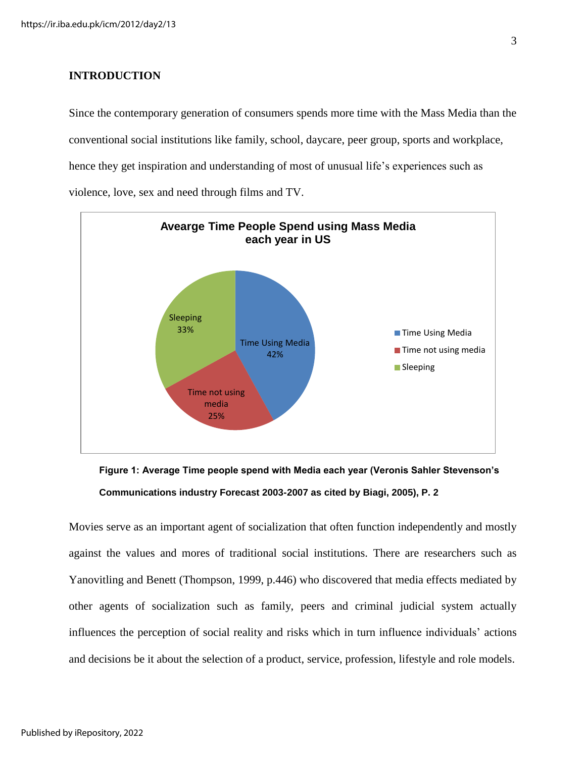#### **INTRODUCTION**

Since the contemporary generation of consumers spends more time with the Mass Media than the conventional social institutions like family, school, daycare, peer group, sports and workplace, hence they get inspiration and understanding of most of unusual life's experiences such as violence, love, sex and need through films and TV.





Movies serve as an important agent of socialization that often function independently and mostly against the values and mores of traditional social institutions. There are researchers such as Yanovitling and Benett (Thompson, 1999, p.446) who discovered that media effects mediated by other agents of socialization such as family, peers and criminal judicial system actually influences the perception of social reality and risks which in turn influence individuals' actions and decisions be it about the selection of a product, service, profession, lifestyle and role models.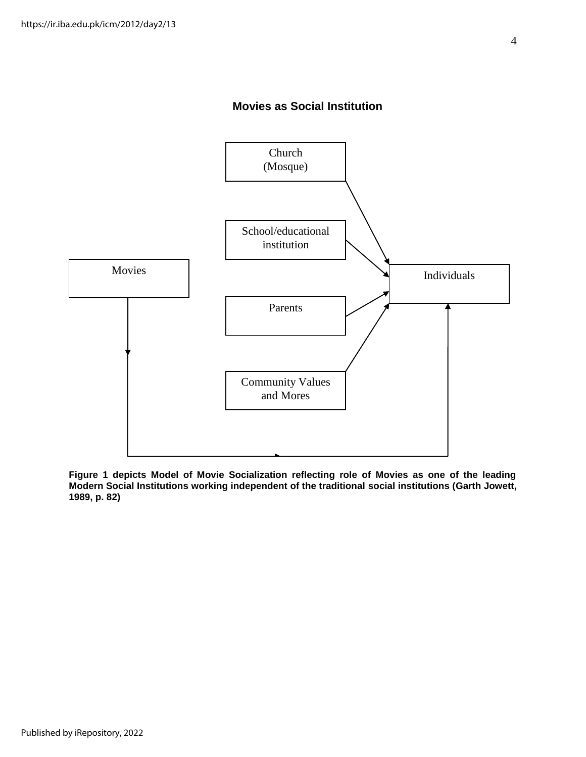## **Movies as Social Institution**



**Figure 1 depicts Model of Movie Socialization reflecting role of Movies as one of the leading Modern Social Institutions working independent of the traditional social institutions (Garth Jowett, 1989, p. 82)**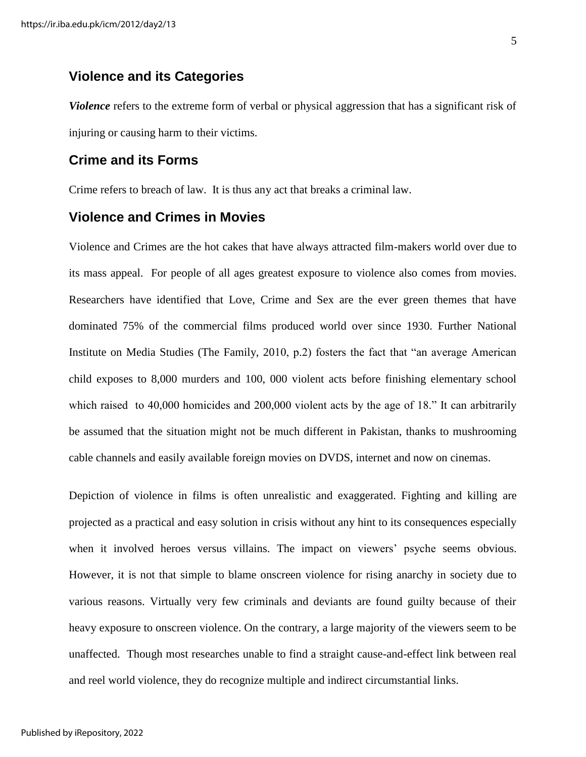## **Violence and its Categories**

*Violence* refers to the extreme form of verbal or physical aggression that has a significant risk of injuring or causing harm to their victims.

### **Crime and its Forms**

Crime refers to breach of law. It is thus any act that breaks a criminal law.

## **Violence and Crimes in Movies**

Violence and Crimes are the hot cakes that have always attracted film-makers world over due to its mass appeal. For people of all ages greatest exposure to violence also comes from movies. Researchers have identified that Love, Crime and Sex are the ever green themes that have dominated 75% of the commercial films produced world over since 1930. Further National Institute on Media Studies (The Family, 2010, p.2) fosters the fact that "an average American child exposes to 8,000 murders and 100, 000 violent acts before finishing elementary school which raised to 40,000 homicides and 200,000 violent acts by the age of 18." It can arbitrarily be assumed that the situation might not be much different in Pakistan, thanks to mushrooming cable channels and easily available foreign movies on DVDS, internet and now on cinemas.

Depiction of violence in films is often unrealistic and exaggerated. Fighting and killing are projected as a practical and easy solution in crisis without any hint to its consequences especially when it involved heroes versus villains. The impact on viewers' psyche seems obvious. However, it is not that simple to blame onscreen violence for rising anarchy in society due to various reasons. Virtually very few criminals and deviants are found guilty because of their heavy exposure to onscreen violence. On the contrary, a large majority of the viewers seem to be unaffected. Though most researches unable to find a straight cause-and-effect link between real and reel world violence, they do recognize multiple and indirect circumstantial links.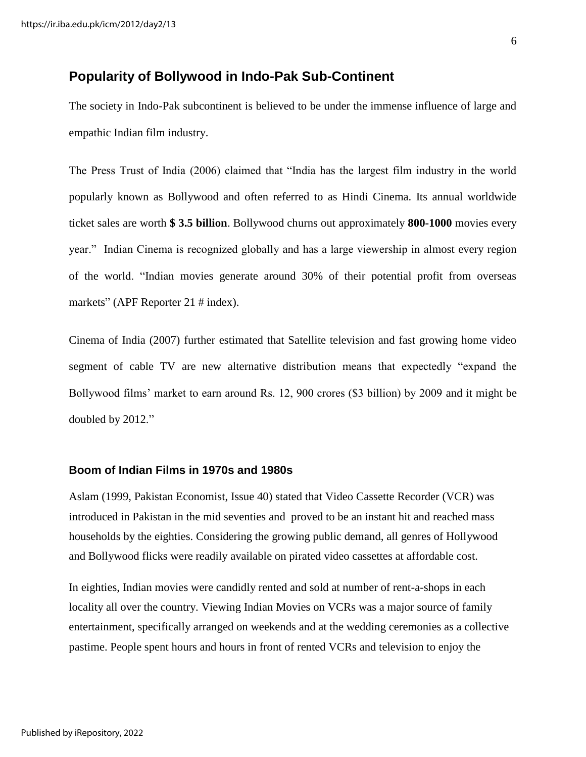## **Popularity of Bollywood in Indo-Pak Sub-Continent**

The society in Indo-Pak subcontinent is believed to be under the immense influence of large and empathic Indian film industry.

The Press Trust of India (2006) claimed that "India has the largest film industry in the world popularly known as Bollywood and often referred to as Hindi Cinema. Its annual worldwide ticket sales are worth **\$ 3.5 billion**. Bollywood churns out approximately **800-1000** movies every year." Indian Cinema is recognized globally and has a large viewership in almost every region of the world. "Indian movies generate around 30% of their potential profit from overseas markets" (APF Reporter 21 # index).

Cinema of India (2007) further estimated that Satellite television and fast growing home video segment of cable TV are new alternative distribution means that expectedly "expand the Bollywood films' market to earn around Rs. 12, 900 crores (\$3 billion) by 2009 and it might be doubled by 2012."

#### **Boom of Indian Films in 1970s and 1980s**

Aslam (1999, Pakistan Economist, Issue 40) stated that Video Cassette Recorder (VCR) was introduced in Pakistan in the mid seventies and proved to be an instant hit and reached mass households by the eighties. Considering the growing public demand, all genres of Hollywood and Bollywood flicks were readily available on pirated video cassettes at affordable cost.

In eighties, Indian movies were candidly rented and sold at number of rent-a-shops in each locality all over the country. Viewing Indian Movies on VCRs was a major source of family entertainment, specifically arranged on weekends and at the wedding ceremonies as a collective pastime. People spent hours and hours in front of rented VCRs and television to enjoy the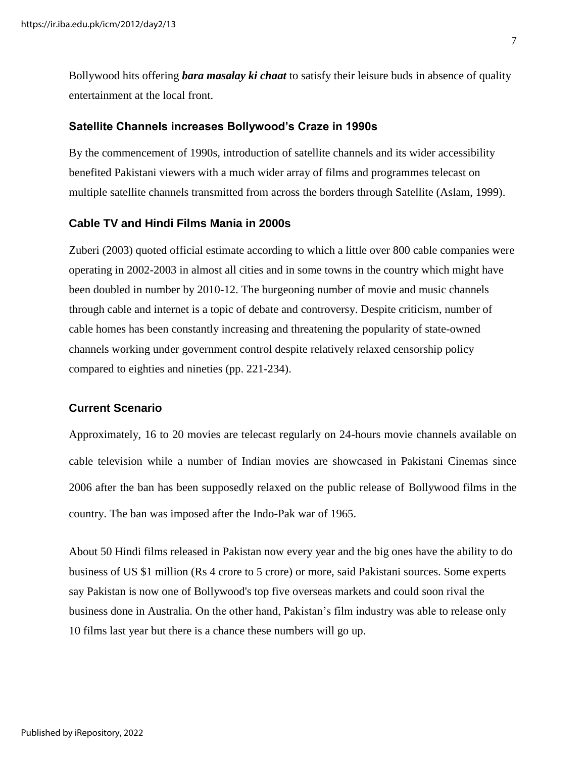Bollywood hits offering *bara masalay ki chaat* to satisfy their leisure buds in absence of quality entertainment at the local front.

#### **Satellite Channels increases Bollywood's Craze in 1990s**

By the commencement of 1990s, introduction of satellite channels and its wider accessibility benefited Pakistani viewers with a much wider array of films and programmes telecast on multiple satellite channels transmitted from across the borders through Satellite (Aslam, 1999).

#### **Cable TV and Hindi Films Mania in 2000s**

Zuberi (2003) quoted official estimate according to which a little over 800 cable companies were operating in 2002-2003 in almost all cities and in some towns in the country which might have been doubled in number by 2010-12. The burgeoning number of movie and music channels through cable and internet is a topic of debate and controversy. Despite criticism, number of cable homes has been constantly increasing and threatening the popularity of state-owned channels working under government control despite relatively relaxed censorship policy compared to eighties and nineties (pp. 221-234).

#### **Current Scenario**

Approximately, 16 to 20 movies are telecast regularly on 24-hours movie channels available on cable television while a number of Indian movies are showcased in Pakistani Cinemas since 2006 after the ban has been supposedly relaxed on the public release of Bollywood films in the country. The ban was imposed after the Indo-Pak war of 1965.

About 50 Hindi films released in Pakistan now every year and the big ones have the ability to do business of US \$1 million (Rs 4 crore to 5 crore) or more, said Pakistani sources. Some experts say [Pakistan](http://timesofindia.indiatimes.com/topic/Pakistan) is now one of Bollywood's top five overseas markets and could soon rival the business done in Australia. On the other hand, Pakistan's film industry was able to release only 10 films last year but there is a chance these numbers will go up.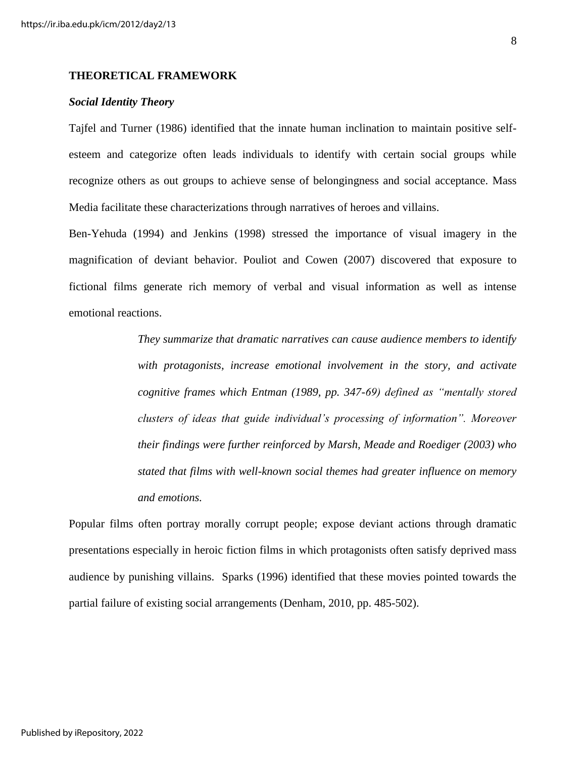#### **THEORETICAL FRAMEWORK**

#### *Social Identity Theory*

Tajfel and Turner (1986) identified that the innate human inclination to maintain positive selfesteem and categorize often leads individuals to identify with certain social groups while recognize others as out groups to achieve sense of belongingness and social acceptance. Mass Media facilitate these characterizations through narratives of heroes and villains.

Ben-Yehuda (1994) and Jenkins (1998) stressed the importance of visual imagery in the magnification of deviant behavior. Pouliot and Cowen (2007) discovered that exposure to fictional films generate rich memory of verbal and visual information as well as intense emotional reactions.

> *They summarize that dramatic narratives can cause audience members to identify with protagonists, increase emotional involvement in the story, and activate cognitive frames which Entman (1989, pp. 347-69) defined as "mentally stored clusters of ideas that guide individual's processing of information". Moreover their findings were further reinforced by Marsh, Meade and Roediger (2003) who stated that films with well-known social themes had greater influence on memory and emotions.*

Popular films often portray morally corrupt people; expose deviant actions through dramatic presentations especially in heroic fiction films in which protagonists often satisfy deprived mass audience by punishing villains. Sparks (1996) identified that these movies pointed towards the partial failure of existing social arrangements (Denham, 2010, pp. 485-502).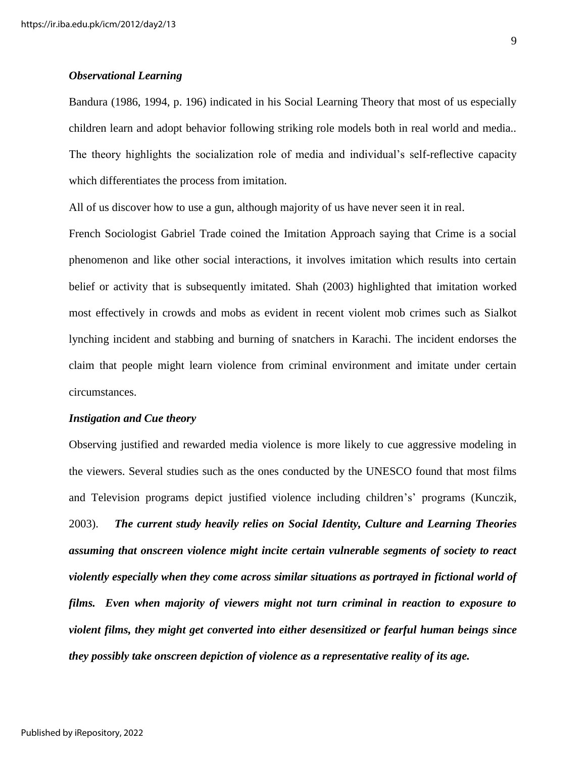#### *Observational Learning*

Bandura (1986, 1994, p. 196) indicated in his Social Learning Theory that most of us especially children learn and adopt behavior following striking role models both in real world and media.. The theory highlights the socialization role of media and individual's self-reflective capacity which differentiates the process from imitation.

All of us discover how to use a gun, although majority of us have never seen it in real.

French Sociologist Gabriel Trade coined the Imitation Approach saying that Crime is a social phenomenon and like other social interactions, it involves imitation which results into certain belief or activity that is subsequently imitated. Shah (2003) highlighted that imitation worked most effectively in crowds and mobs as evident in recent violent mob crimes such as Sialkot lynching incident and stabbing and burning of snatchers in Karachi. The incident endorses the claim that people might learn violence from criminal environment and imitate under certain circumstances.

#### *Instigation and Cue theory*

Observing justified and rewarded media violence is more likely to cue aggressive modeling in the viewers. Several studies such as the ones conducted by the UNESCO found that most films and Television programs depict justified violence including children's' programs (Kunczik, 2003). *The current study heavily relies on Social Identity, Culture and Learning Theories assuming that onscreen violence might incite certain vulnerable segments of society to react violently especially when they come across similar situations as portrayed in fictional world of films. Even when majority of viewers might not turn criminal in reaction to exposure to violent films, they might get converted into either desensitized or fearful human beings since they possibly take onscreen depiction of violence as a representative reality of its age.*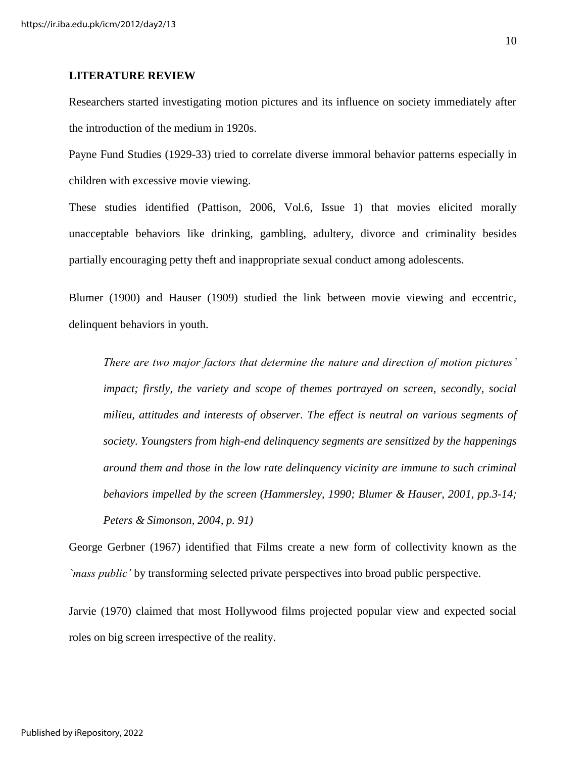#### **LITERATURE REVIEW**

Researchers started investigating motion pictures and its influence on society immediately after the introduction of the medium in 1920s.

Payne Fund Studies (1929-33) tried to correlate diverse immoral behavior patterns especially in children with excessive movie viewing.

These studies identified (Pattison, 2006, Vol.6, Issue 1) that movies elicited morally unacceptable behaviors like drinking, gambling, adultery, divorce and criminality besides partially encouraging petty theft and inappropriate sexual conduct among adolescents.

Blumer (1900) and Hauser (1909) studied the link between movie viewing and eccentric, delinquent behaviors in youth.

*There are two major factors that determine the nature and direction of motion pictures' impact; firstly, the variety and scope of themes portrayed on screen, secondly, social milieu, attitudes and interests of observer. The effect is neutral on various segments of society. Youngsters from high-end delinquency segments are sensitized by the happenings around them and those in the low rate delinquency vicinity are immune to such criminal behaviors impelled by the screen (Hammersley, 1990; Blumer & Hauser, 2001, pp.3-14; Peters & Simonson, 2004, p. 91)* 

George Gerbner (1967) identified that Films create a new form of collectivity known as the *`mass public'* by transforming selected private perspectives into broad public perspective.

Jarvie (1970) claimed that most Hollywood films projected popular view and expected social roles on big screen irrespective of the reality.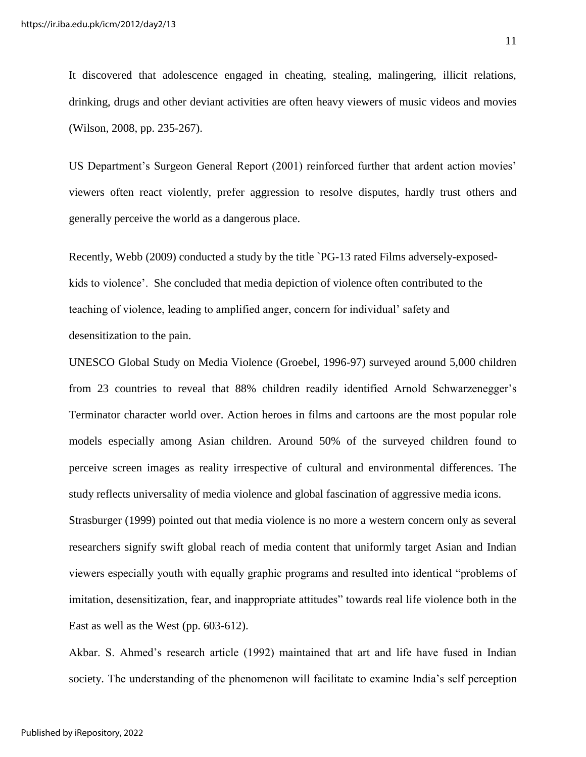It discovered that adolescence engaged in cheating, stealing, malingering, illicit relations, drinking, drugs and other deviant activities are often heavy viewers of music videos and movies (Wilson, 2008, pp. 235-267).

US Department's Surgeon General Report (2001) reinforced further that ardent action movies' viewers often react violently, prefer aggression to resolve disputes, hardly trust others and generally perceive the world as a dangerous place.

Recently, Webb (2009) conducted a study by the title `PG-13 rated Films adversely-exposedkids to violence'. She concluded that media depiction of violence often contributed to the teaching of violence, leading to amplified anger, concern for individual' safety and desensitization to the pain.

UNESCO Global Study on Media Violence (Groebel, 1996-97) surveyed around 5,000 children from 23 countries to reveal that 88% children readily identified Arnold Schwarzenegger's Terminator character world over. Action heroes in films and cartoons are the most popular role models especially among Asian children. Around 50% of the surveyed children found to perceive screen images as reality irrespective of cultural and environmental differences. The study reflects universality of media violence and global fascination of aggressive media icons.

Strasburger (1999) pointed out that media violence is no more a western concern only as several researchers signify swift global reach of media content that uniformly target Asian and Indian viewers especially youth with equally graphic programs and resulted into identical "problems of imitation, desensitization, fear, and inappropriate attitudes" towards real life violence both in the East as well as the West (pp. 603-612).

Akbar. S. Ahmed's research article (1992) maintained that art and life have fused in Indian society. The understanding of the phenomenon will facilitate to examine India's self perception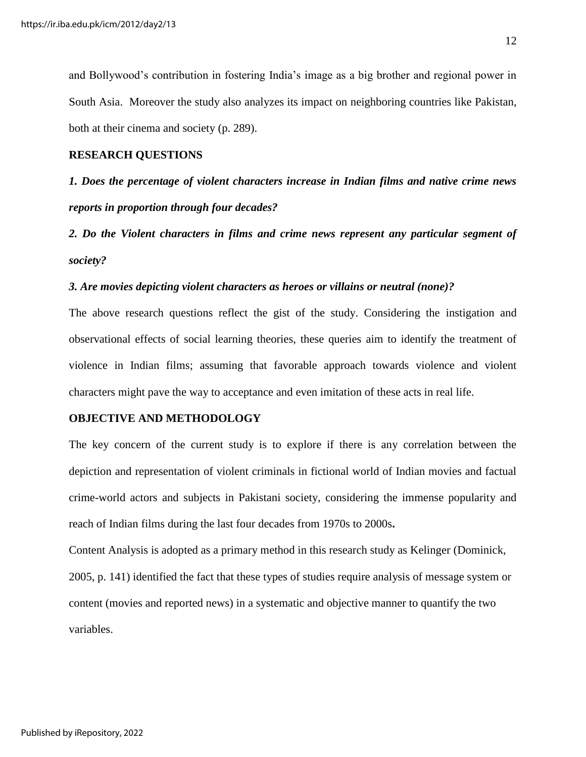and Bollywood's contribution in fostering India's image as a big brother and regional power in South Asia. Moreover the study also analyzes its impact on neighboring countries like Pakistan, both at their cinema and society (p. 289).

#### **RESEARCH QUESTIONS**

*1. Does the percentage of violent characters increase in Indian films and native crime news reports in proportion through four decades?* 

*2. Do the Violent characters in films and crime news represent any particular segment of society?* 

#### *3. Are movies depicting violent characters as heroes or villains or neutral (none)?*

The above research questions reflect the gist of the study. Considering the instigation and observational effects of social learning theories, these queries aim to identify the treatment of violence in Indian films; assuming that favorable approach towards violence and violent characters might pave the way to acceptance and even imitation of these acts in real life.

#### **OBJECTIVE AND METHODOLOGY**

The key concern of the current study is to explore if there is any correlation between the depiction and representation of violent criminals in fictional world of Indian movies and factual crime-world actors and subjects in Pakistani society, considering the immense popularity and reach of Indian films during the last four decades from 1970s to 2000s**.** 

Content Analysis is adopted as a primary method in this research study as Kelinger (Dominick, 2005, p. 141) identified the fact that these types of studies require analysis of message system or content (movies and reported news) in a systematic and objective manner to quantify the two variables.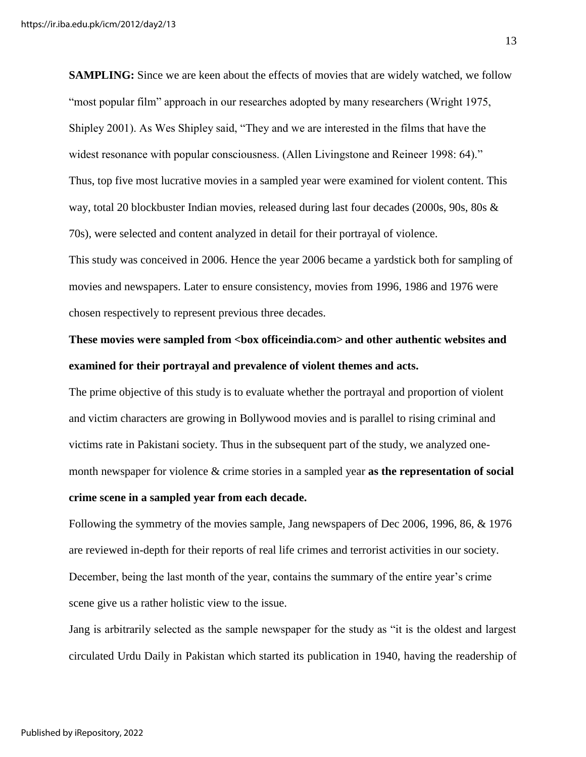**SAMPLING:** Since we are keen about the effects of movies that are widely watched, we follow "most popular film" approach in our researches adopted by many researchers (Wright 1975, Shipley 2001). As Wes Shipley said, "They and we are interested in the films that have the widest resonance with popular consciousness. (Allen Livingstone and Reineer 1998: 64)." Thus, top five most lucrative movies in a sampled year were examined for violent content. This way, total 20 blockbuster Indian movies, released during last four decades (2000s, 90s, 80s & 70s), were selected and content analyzed in detail for their portrayal of violence.

This study was conceived in 2006. Hence the year 2006 became a yardstick both for sampling of movies and newspapers. Later to ensure consistency, movies from 1996, 1986 and 1976 were chosen respectively to represent previous three decades.

# **These movies were sampled from <box officeindia.com> and other authentic websites and examined for their portrayal and prevalence of violent themes and acts.**

The prime objective of this study is to evaluate whether the portrayal and proportion of violent and victim characters are growing in Bollywood movies and is parallel to rising criminal and victims rate in Pakistani society. Thus in the subsequent part of the study, we analyzed onemonth newspaper for violence & crime stories in a sampled year **as the representation of social crime scene in a sampled year from each decade.** 

Following the symmetry of the movies sample, Jang newspapers of Dec 2006, 1996, 86, & 1976 are reviewed in-depth for their reports of real life crimes and terrorist activities in our society. December, being the last month of the year, contains the summary of the entire year's crime scene give us a rather holistic view to the issue.

Jang is arbitrarily selected as the sample newspaper for the study as "it is the oldest and largest circulated Urdu Daily in Pakistan which started its publication in 1940, having the readership of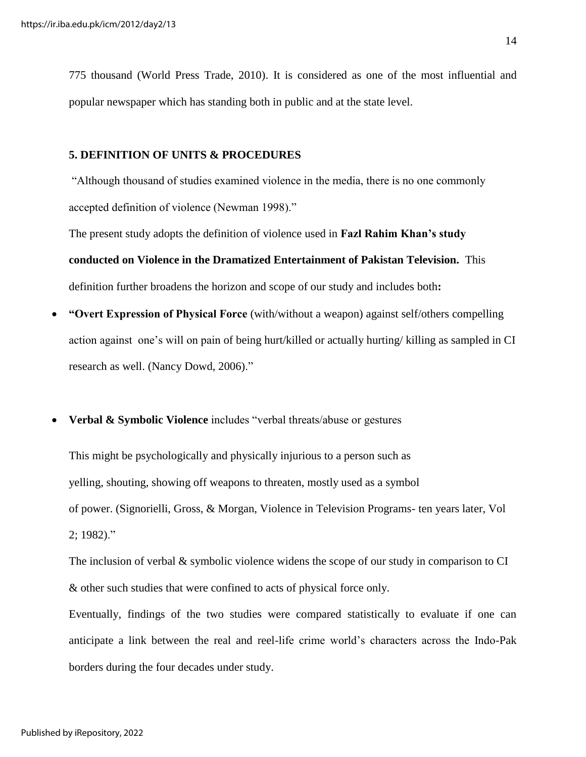775 thousand (World Press Trade, 2010). It is considered as one of the most influential and popular newspaper which has standing both in public and at the state level.

#### **5. DEFINITION OF UNITS & PROCEDURES**

"Although thousand of studies examined violence in the media, there is no one commonly accepted definition of violence (Newman 1998)."

The present study adopts the definition of violence used in **Fazl Rahim Khan's study conducted on Violence in the Dramatized Entertainment of Pakistan Television.** This definition further broadens the horizon and scope of our study and includes both**:** 

- **"Overt Expression of Physical Force** (with/without a weapon) against self/others compelling action against one's will on pain of being hurt/killed or actually hurting/ killing as sampled in CI research as well. (Nancy Dowd, 2006)."
- **Verbal & Symbolic Violence** includes "verbal threats/abuse or gestures

This might be psychologically and physically injurious to a person such as yelling, shouting, showing off weapons to threaten, mostly used as a symbol of power. (Signorielli, Gross, & Morgan, Violence in Television Programs- ten years later, Vol 2; 1982)."

The inclusion of verbal  $\&$  symbolic violence widens the scope of our study in comparison to CI & other such studies that were confined to acts of physical force only.

Eventually, findings of the two studies were compared statistically to evaluate if one can anticipate a link between the real and reel-life crime world's characters across the Indo-Pak borders during the four decades under study.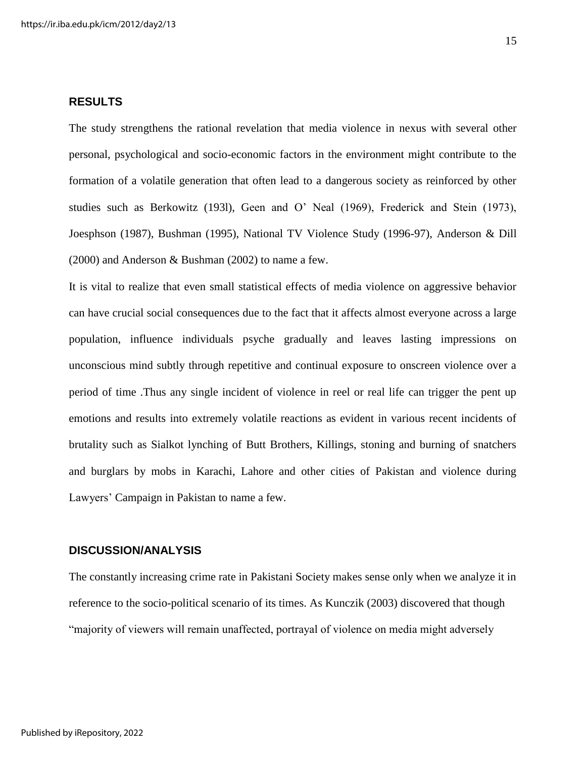#### **RESULTS**

The study strengthens the rational revelation that media violence in nexus with several other personal, psychological and socio-economic factors in the environment might contribute to the formation of a volatile generation that often lead to a dangerous society as reinforced by other studies such as Berkowitz (193l), Geen and O' Neal (1969), Frederick and Stein (1973), Joesphson (1987), Bushman (1995), National TV Violence Study (1996-97), Anderson & Dill (2000) and Anderson & Bushman (2002) to name a few.

It is vital to realize that even small statistical effects of media violence on aggressive behavior can have crucial social consequences due to the fact that it affects almost everyone across a large population, influence individuals psyche gradually and leaves lasting impressions on unconscious mind subtly through repetitive and continual exposure to onscreen violence over a period of time .Thus any single incident of violence in reel or real life can trigger the pent up emotions and results into extremely volatile reactions as evident in various recent incidents of brutality such as Sialkot lynching of Butt Brothers, Killings, stoning and burning of snatchers and burglars by mobs in Karachi, Lahore and other cities of Pakistan and violence during Lawyers' Campaign in Pakistan to name a few.

#### **DISCUSSION/ANALYSIS**

The constantly increasing crime rate in Pakistani Society makes sense only when we analyze it in reference to the socio-political scenario of its times. As Kunczik (2003) discovered that though "majority of viewers will remain unaffected, portrayal of violence on media might adversely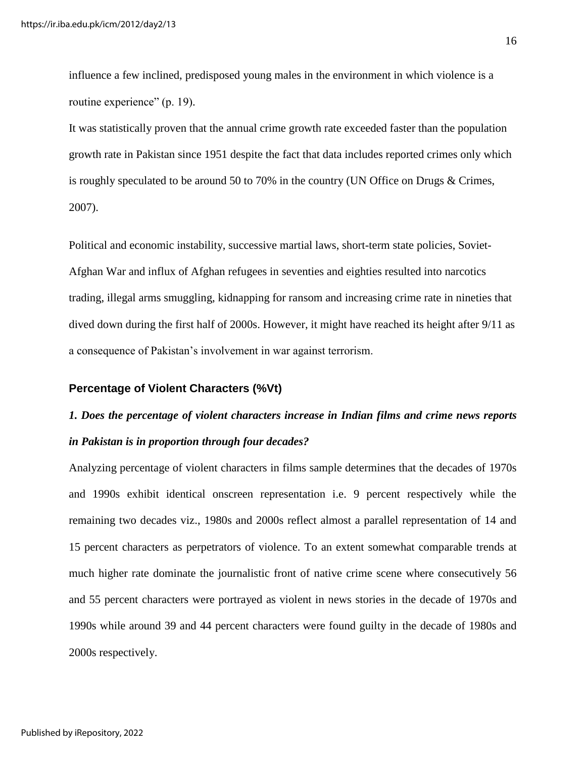influence a few inclined, predisposed young males in the environment in which violence is a routine experience" (p. 19).

It was statistically proven that the annual crime growth rate exceeded faster than the population growth rate in Pakistan since 1951 despite the fact that data includes reported crimes only which is roughly speculated to be around 50 to 70% in the country (UN Office on Drugs & Crimes, 2007).

Political and economic instability, successive martial laws, short-term state policies, Soviet-Afghan War and influx of Afghan refugees in seventies and eighties resulted into narcotics trading, illegal arms smuggling, kidnapping for ransom and increasing crime rate in nineties that dived down during the first half of 2000s. However, it might have reached its height after 9/11 as a consequence of Pakistan's involvement in war against terrorism.

#### **Percentage of Violent Characters (%Vt)**

# *1. Does the percentage of violent characters increase in Indian films and crime news reports in Pakistan is in proportion through four decades?*

Analyzing percentage of violent characters in films sample determines that the decades of 1970s and 1990s exhibit identical onscreen representation i.e. 9 percent respectively while the remaining two decades viz., 1980s and 2000s reflect almost a parallel representation of 14 and 15 percent characters as perpetrators of violence. To an extent somewhat comparable trends at much higher rate dominate the journalistic front of native crime scene where consecutively 56 and 55 percent characters were portrayed as violent in news stories in the decade of 1970s and 1990s while around 39 and 44 percent characters were found guilty in the decade of 1980s and 2000s respectively.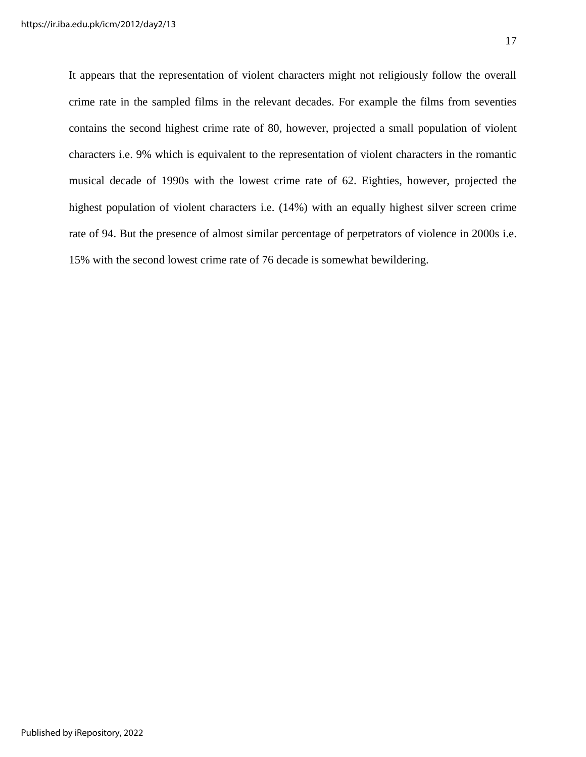It appears that the representation of violent characters might not religiously follow the overall crime rate in the sampled films in the relevant decades. For example the films from seventies contains the second highest crime rate of 80, however, projected a small population of violent characters i.e. 9% which is equivalent to the representation of violent characters in the romantic musical decade of 1990s with the lowest crime rate of 62. Eighties, however, projected the highest population of violent characters i.e. (14%) with an equally highest silver screen crime rate of 94. But the presence of almost similar percentage of perpetrators of violence in 2000s i.e. 15% with the second lowest crime rate of 76 decade is somewhat bewildering.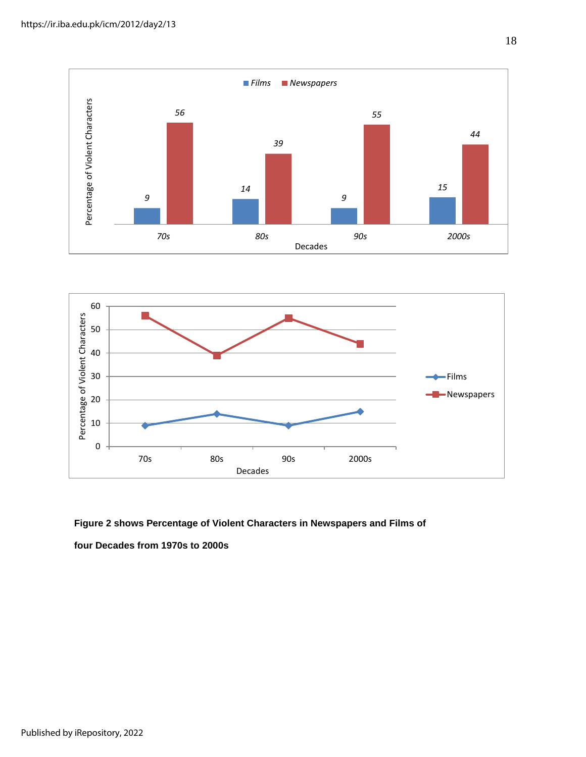



 **Figure 2 shows Percentage of Violent Characters in Newspapers and Films of four Decades from 1970s to 2000s**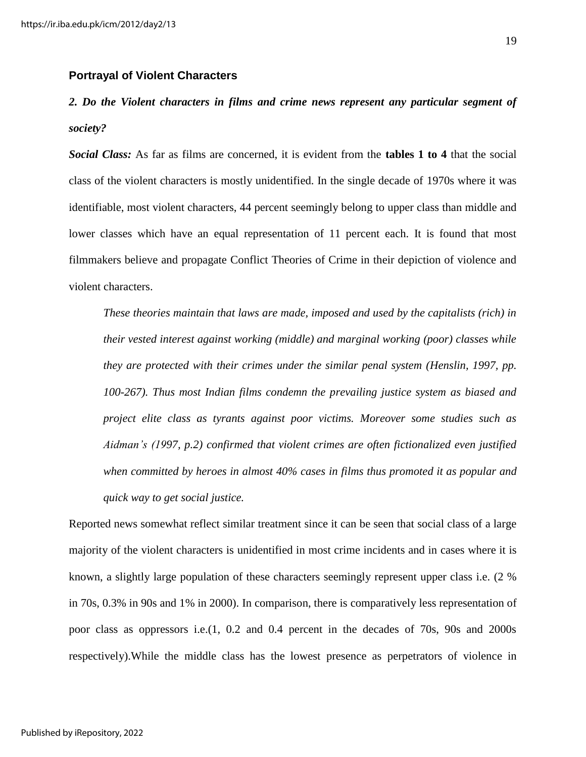#### **Portrayal of Violent Characters**

# *2. Do the Violent characters in films and crime news represent any particular segment of society?*

*Social Class:* As far as films are concerned, it is evident from the **tables 1 to 4** that the social class of the violent characters is mostly unidentified. In the single decade of 1970s where it was identifiable, most violent characters, 44 percent seemingly belong to upper class than middle and lower classes which have an equal representation of 11 percent each. It is found that most filmmakers believe and propagate Conflict Theories of Crime in their depiction of violence and violent characters.

*These theories maintain that laws are made, imposed and used by the capitalists (rich) in their vested interest against working (middle) and marginal working (poor) classes while they are protected with their crimes under the similar penal system (Henslin, 1997, pp. 100-267). Thus most Indian films condemn the prevailing justice system as biased and project elite class as tyrants against poor victims. Moreover some studies such as Aidman's (1997, p.2) confirmed that violent crimes are often fictionalized even justified when committed by heroes in almost 40% cases in films thus promoted it as popular and quick way to get social justice.* 

Reported news somewhat reflect similar treatment since it can be seen that social class of a large majority of the violent characters is unidentified in most crime incidents and in cases where it is known, a slightly large population of these characters seemingly represent upper class i.e. (2 % in 70s, 0.3% in 90s and 1% in 2000). In comparison, there is comparatively less representation of poor class as oppressors i.e.(1, 0.2 and 0.4 percent in the decades of 70s, 90s and 2000s respectively).While the middle class has the lowest presence as perpetrators of violence in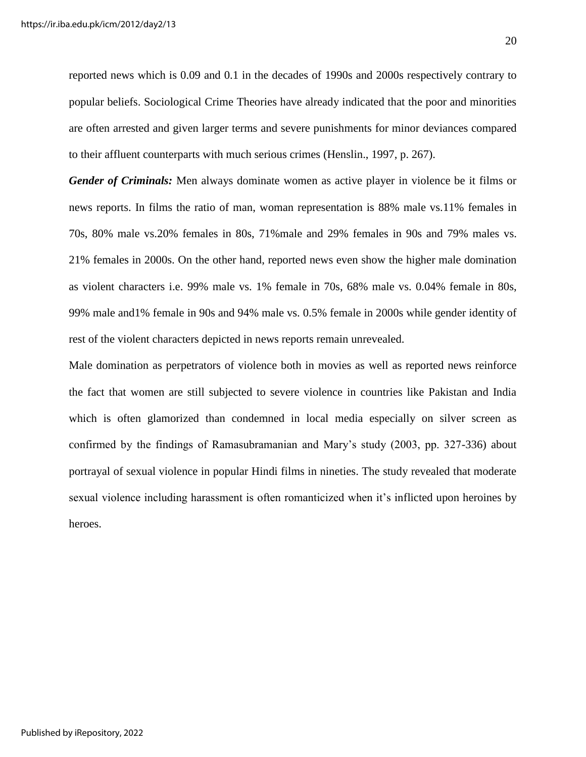reported news which is 0.09 and 0.1 in the decades of 1990s and 2000s respectively contrary to popular beliefs. Sociological Crime Theories have already indicated that the poor and minorities are often arrested and given larger terms and severe punishments for minor deviances compared to their affluent counterparts with much serious crimes (Henslin., 1997, p. 267).

*Gender of Criminals:* Men always dominate women as active player in violence be it films or news reports. In films the ratio of man, woman representation is 88% male vs.11% females in 70s, 80% male vs.20% females in 80s, 71%male and 29% females in 90s and 79% males vs. 21% females in 2000s. On the other hand, reported news even show the higher male domination as violent characters i.e. 99% male vs. 1% female in 70s, 68% male vs. 0.04% female in 80s, 99% male and1% female in 90s and 94% male vs. 0.5% female in 2000s while gender identity of rest of the violent characters depicted in news reports remain unrevealed.

Male domination as perpetrators of violence both in movies as well as reported news reinforce the fact that women are still subjected to severe violence in countries like Pakistan and India which is often glamorized than condemned in local media especially on silver screen as confirmed by the findings of Ramasubramanian and Mary's study (2003, pp. 327-336) about portrayal of sexual violence in popular Hindi films in nineties. The study revealed that moderate sexual violence including harassment is often romanticized when it's inflicted upon heroines by heroes.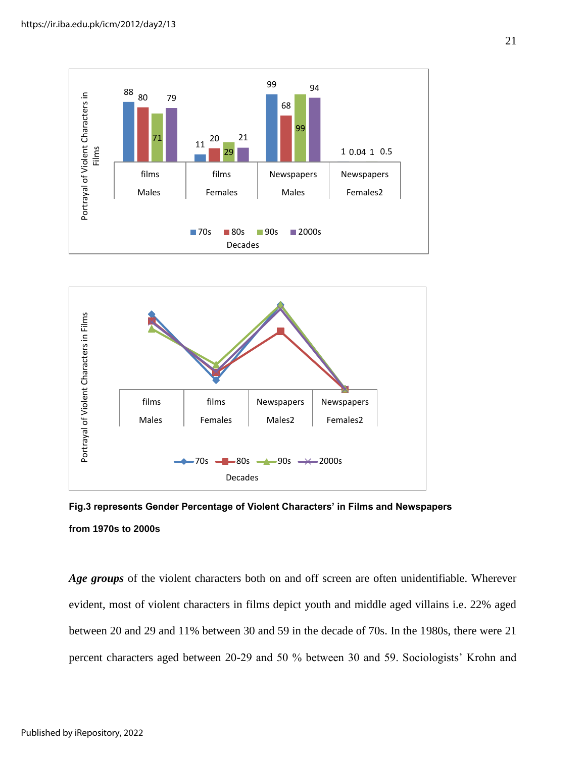



**Fig.3 represents Gender Percentage of Violent Characters' in Films and Newspapers from 1970s to 2000s** 

*Age groups* of the violent characters both on and off screen are often unidentifiable. Wherever evident, most of violent characters in films depict youth and middle aged villains i.e. 22% aged between 20 and 29 and 11% between 30 and 59 in the decade of 70s. In the 1980s, there were 21 percent characters aged between 20-29 and 50 % between 30 and 59. Sociologists' Krohn and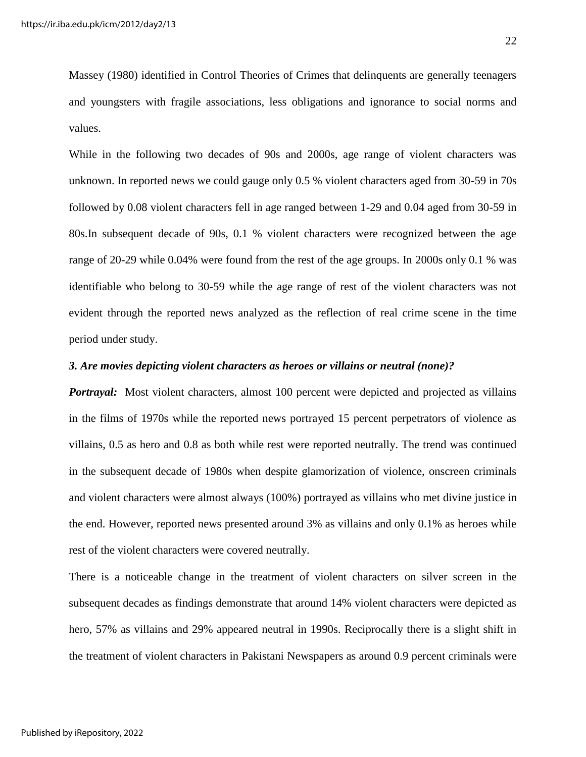Massey (1980) identified in Control Theories of Crimes that delinquents are generally teenagers and youngsters with fragile associations, less obligations and ignorance to social norms and values.

While in the following two decades of 90s and 2000s, age range of violent characters was unknown. In reported news we could gauge only 0.5 % violent characters aged from 30-59 in 70s followed by 0.08 violent characters fell in age ranged between 1-29 and 0.04 aged from 30-59 in 80s.In subsequent decade of 90s, 0.1 % violent characters were recognized between the age range of 20-29 while 0.04% were found from the rest of the age groups. In 2000s only 0.1 % was identifiable who belong to 30-59 while the age range of rest of the violent characters was not evident through the reported news analyzed as the reflection of real crime scene in the time period under study.

#### *3. Are movies depicting violent characters as heroes or villains or neutral (none)?*

*Portrayal:* Most violent characters, almost 100 percent were depicted and projected as villains in the films of 1970s while the reported news portrayed 15 percent perpetrators of violence as villains, 0.5 as hero and 0.8 as both while rest were reported neutrally. The trend was continued in the subsequent decade of 1980s when despite glamorization of violence, onscreen criminals and violent characters were almost always (100%) portrayed as villains who met divine justice in the end. However, reported news presented around 3% as villains and only 0.1% as heroes while rest of the violent characters were covered neutrally.

There is a noticeable change in the treatment of violent characters on silver screen in the subsequent decades as findings demonstrate that around 14% violent characters were depicted as hero, 57% as villains and 29% appeared neutral in 1990s. Reciprocally there is a slight shift in the treatment of violent characters in Pakistani Newspapers as around 0.9 percent criminals were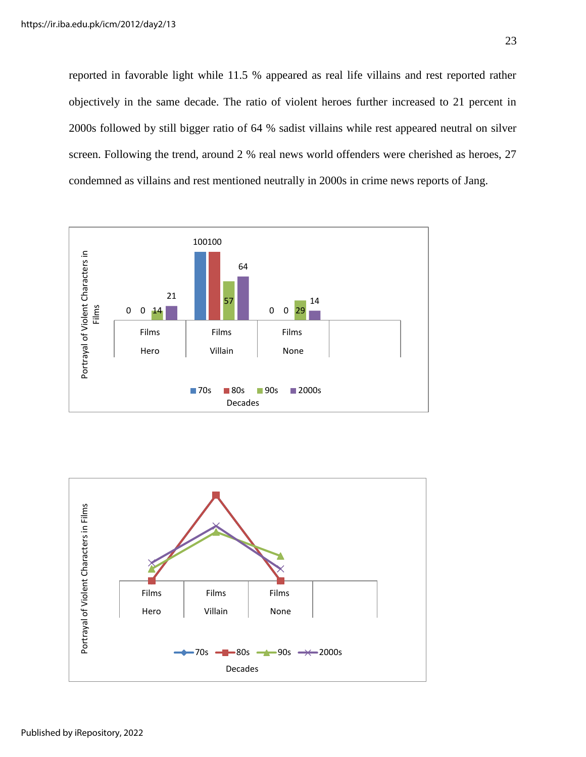reported in favorable light while 11.5 % appeared as real life villains and rest reported rather objectively in the same decade. The ratio of violent heroes further increased to 21 percent in 2000s followed by still bigger ratio of 64 % sadist villains while rest appeared neutral on silver screen. Following the trend, around 2 % real news world offenders were cherished as heroes, 27 condemned as villains and rest mentioned neutrally in 2000s in crime news reports of Jang.



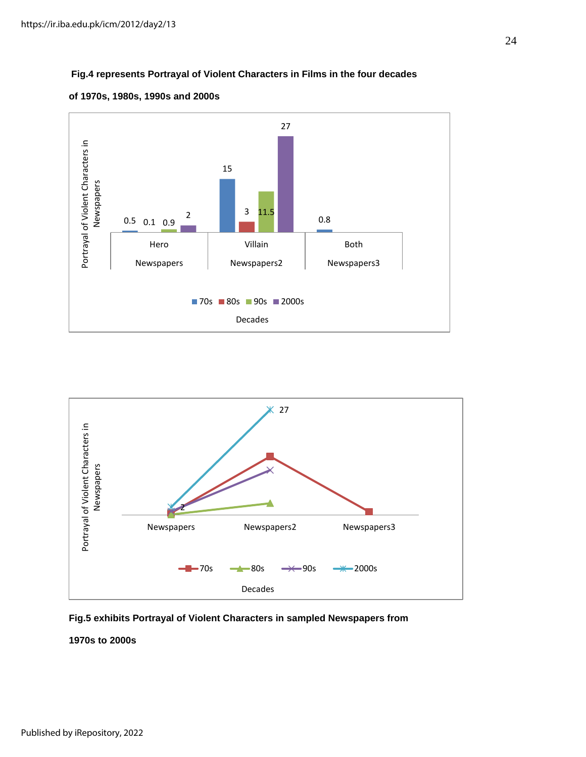#### **Fig.4 represents Portrayal of Violent Characters in Films in the four decades**







**Fig.5 exhibits Portrayal of Violent Characters in sampled Newspapers from** 

#### **1970s to 2000s**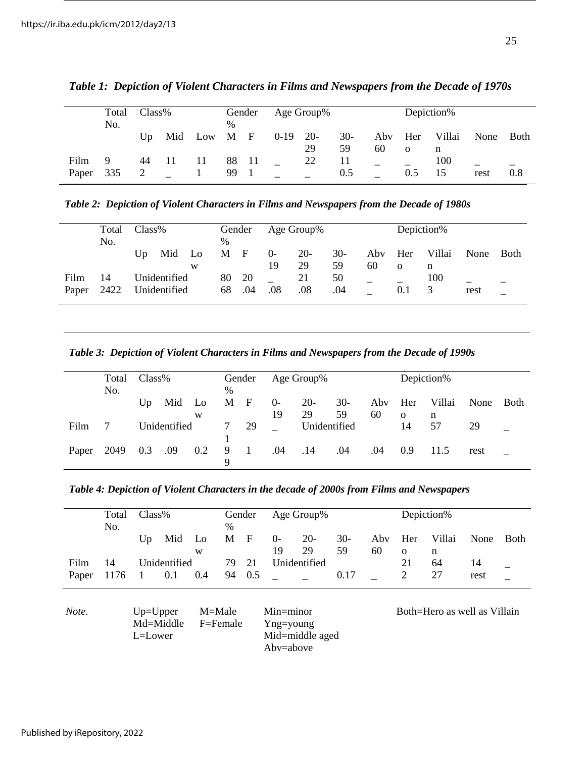|               | Total<br>No. | $Class\%$ |    |           | Gender<br>$\%$ |              | Age Group% |             |             |           | Depiction%      |             |      |        |
|---------------|--------------|-----------|----|-----------|----------------|--------------|------------|-------------|-------------|-----------|-----------------|-------------|------|--------|
|               |              | Up        |    | Mid Low M |                | $\mathbf{F}$ | $0-19$     | $20-$<br>29 | $30-$<br>59 | Aby<br>60 | Her<br>$\Omega$ | Villai<br>n | None | - Both |
| Film<br>Paper | 9<br>335     | 44        | 11 | 11        | 88<br>99       | -11          |            | 22          | 11<br>0.5   |           | 0.5             | 100<br>15   | rest | 0.8    |

*Table 1: Depiction of Violent Characters in Films and Newspapers from the Decade of 1970s*

*Table 2: Depiction of Violent Characters in Films and Newspapers from the Decade of 1980s*

|               | Total<br>No. | Class%                       |     |           | $\%$     | Gender       |            | Age Group%  |             |           | Depiction%      |             |      |      |
|---------------|--------------|------------------------------|-----|-----------|----------|--------------|------------|-------------|-------------|-----------|-----------------|-------------|------|------|
|               |              | Up                           | Mid | - Lo<br>W | M        | $\mathbf{F}$ | $0-$<br>19 | $20-$<br>29 | $30-$<br>59 | Aby<br>60 | Her<br>$\Omega$ | Villai<br>n | None | Both |
| Film<br>Paper | 14<br>2422   | Unidentified<br>Unidentified |     |           | 80<br>68 | 20<br>.04    | .08        | 21<br>.08   | 50<br>.04   |           | -<br>0.1        | 100<br>3    | rest |      |

*Table 3: Depiction of Violent Characters in Films and Newspapers from the Decade of 1990s*

|       | Total<br>No. | $Class\%$ |              |     | $\%$   | Gender          | Age Group% |              |             |           | Depiction%     |         |      |             |
|-------|--------------|-----------|--------------|-----|--------|-----------------|------------|--------------|-------------|-----------|----------------|---------|------|-------------|
|       |              | Up        | Mid Lo       |     | M      | $\mathbf{F}$    | $0-$<br>19 | $20-$<br>29  | $30-$<br>59 | Aby<br>60 | Her            | Villai  | None | <b>Both</b> |
| Film  |              |           | Unidentified | W   | 7      | 29              |            | Unidentified |             |           | $\Omega$<br>14 | n<br>57 | 29   |             |
| Paper | 2049         | 0.3       | .09          | 0.2 | 9<br>Ч | $\sim$ 1 $\sim$ | .04        | .14          | .04         | .04       | 0.9            | 11.5    | rest |             |

*Table 4: Depiction of Violent Characters in the decade of 2000s from Films and Newspapers*

|       | Total<br>No.                                             | $Class\%$    |     | Gender<br>$\frac{0}{0}$ |    |              | Age Group%                 |                 | Depiction% |     |          |                              |      |             |
|-------|----------------------------------------------------------|--------------|-----|-------------------------|----|--------------|----------------------------|-----------------|------------|-----|----------|------------------------------|------|-------------|
|       |                                                          | Up           | Mid | Lo                      | М  | $\mathbf{F}$ | $\Omega$                   | $20-$           | $30-$      | Aby | Her      | Villai                       | None | <b>Both</b> |
|       |                                                          |              |     | W                       |    |              | 19                         | 29              | 59         | 60  | $\Omega$ | n                            |      |             |
| Film  | 14                                                       | Unidentified |     |                         | 79 | 21           | Unidentified               |                 |            |     | 21       | 64                           | 14   |             |
| Paper | 1176                                                     |              | 0.1 | 0.4                     | 94 | 0.5          |                            |                 | 0.17       |     | 2        | 27                           | rest |             |
| Note. | M=Male<br>$Up=Upper$<br>Md=Middle<br>F=Female<br>L=Lower |              |     |                         |    |              | $Min = minor$<br>Yng=young | Mid=middle aged |            |     |          | Both=Hero as well as Villain |      |             |

Mid=middle aged Abv=above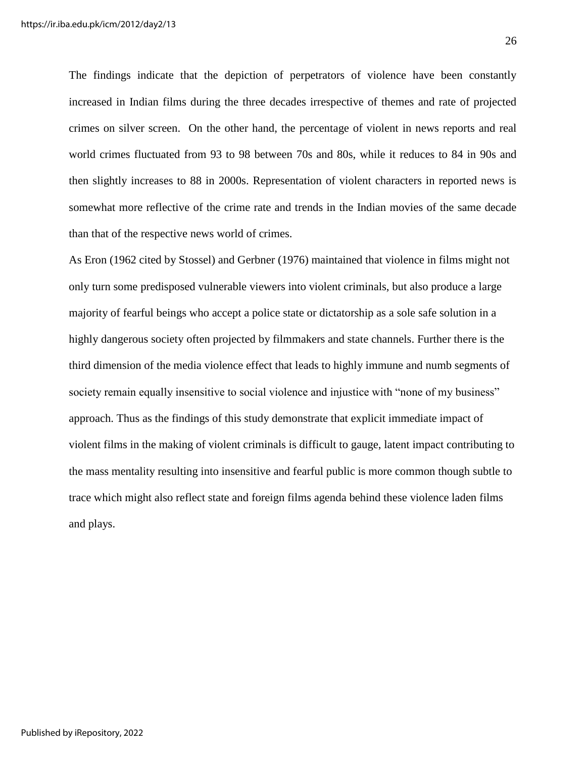The findings indicate that the depiction of perpetrators of violence have been constantly increased in Indian films during the three decades irrespective of themes and rate of projected crimes on silver screen. On the other hand, the percentage of violent in news reports and real world crimes fluctuated from 93 to 98 between 70s and 80s, while it reduces to 84 in 90s and then slightly increases to 88 in 2000s. Representation of violent characters in reported news is somewhat more reflective of the crime rate and trends in the Indian movies of the same decade than that of the respective news world of crimes.

As Eron (1962 cited by Stossel) and Gerbner (1976) maintained that violence in films might not only turn some predisposed vulnerable viewers into violent criminals, but also produce a large majority of fearful beings who accept a police state or dictatorship as a sole safe solution in a highly dangerous society often projected by filmmakers and state channels. Further there is the third dimension of the media violence effect that leads to highly immune and numb segments of society remain equally insensitive to social violence and injustice with "none of my business" approach. Thus as the findings of this study demonstrate that explicit immediate impact of violent films in the making of violent criminals is difficult to gauge, latent impact contributing to the mass mentality resulting into insensitive and fearful public is more common though subtle to trace which might also reflect state and foreign films agenda behind these violence laden films and plays.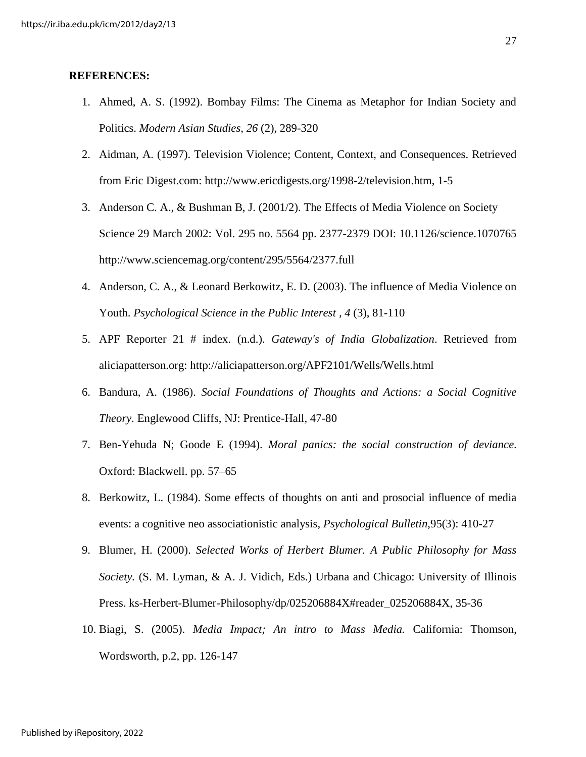#### **REFERENCES:**

- 1. Ahmed, A. S. (1992). Bombay Films: The Cinema as Metaphor for Indian Society and Politics. *Modern Asian Studies*, *26* (2), 289-320
- 2. [Aidman, A. \(1997\). Television Violence; Content, Context, and Consequences. Retrieved](http://www.ericdigests.org/1998-2/television.htm)  [from Eric Digest.com: http://www.ericdigests.org/1998-2/television.htm,](http://www.ericdigests.org/1998-2/television.htm) 1-5
- 3. Anderson C. A., & Bushman B, J. (2001/2). The Effects of Media Violence on Society Science 29 March 2002: Vol. 295 no. 5564 pp. 2377-2379 DOI: 10.1126/science.1070765 <http://www.sciencemag.org/content/295/5564/2377.full>
- 4. Anderson, C. A., & Leonard Berkowitz, E. D. (2003). The influence of Media Violence on Youth. *Psychological Science in the Public Interest , 4* (3), 81-110
- 5. APF Reporter 21 # index. (n.d.). *Gateway's of India Globalization*. Retrieved from aliciapatterson.org: http://aliciapatterson.org/APF2101/Wells/Wells.html
- 6. Bandura, A. (1986). *Social Foundations of Thoughts and Actions: a Social Cognitive Theory.* Englewood Cliffs, NJ: Prentice-Hall, 47-80
- 7. Ben-Yehuda N; Goode E (1994). *Moral panics: the social construction of deviance*. Oxford: Blackwell. pp. [57–65](http://books.google.com/books?id=FXfwVySVB4wC&pg=PA57)
- 8. Berkowitz, L. (1984). Some effects of thoughts on anti and prosocial influence of media events: a cognitive neo associationistic analysis*, Psychological Bulletin*,95(3): 410-27
- 9. Blumer, H. (2000). *Selected Works of Herbert Blumer. A Public Philosophy for Mass Society.* (S. M. Lyman, & A. J. Vidich, Eds.) Urbana and Chicago: University of Illinois Press. ks-Herbert-Blumer-Philosophy/dp/025206884X#reader\_025206884X, 35-36
- 10. Biagi, S. (2005). *Media Impact; An intro to Mass Media.* California: Thomson, Wordsworth, p.2, pp. 126-147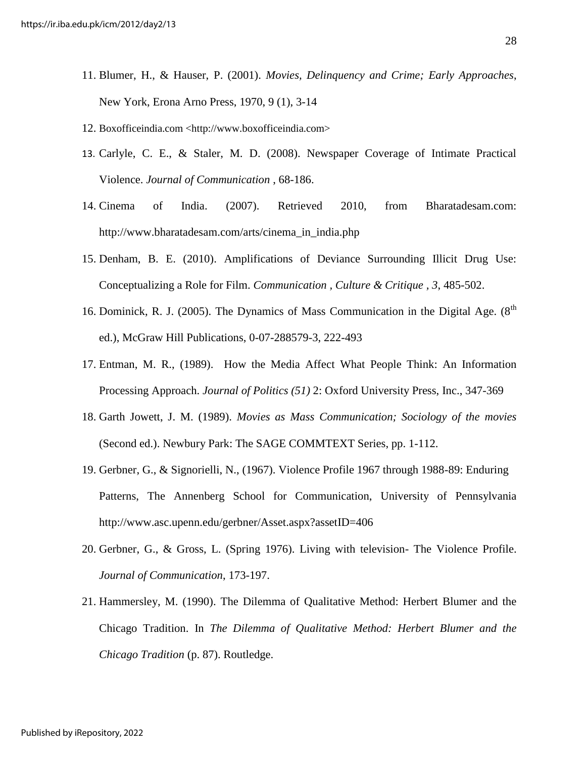- 11. Blumer, H., & Hauser, P. (2001). *Movies, Delinquency and Crime; Early Approaches*, New York, Erona Arno Press, 1970, 9 (1), 3-14
- 12. Boxofficeindia.com [<http://www.boxofficeindia.com>](http://www.boxofficeindia.com/)
- 13. Carlyle, C. E., & Staler, M. D. (2008). Newspaper Coverage of Intimate Practical Violence. *Journal of Communication* , 68-186.
- 14. Cinema of India. (2007). Retrieved 2010, from Bharatadesam.com: [http://www.bharatadesam.com/arts/cinema\\_in\\_india.php](http://www.bharatadesam.com/arts/cinema_in_india.php)
- 15. Denham, B. E. (2010). Amplifications of Deviance Surrounding Illicit Drug Use: Conceptualizing a Role for Film. *Communication , Culture & Critique , 3*, 485-502.
- 16. Dominick, R. J. (2005). The Dynamics of Mass Communication in the Digital Age.  $(8<sup>th</sup>$ ed.), McGraw Hill Publications, 0-07-288579-3, 222-493
- 17. Entman, M. R., (1989). How the Media Affect What People Think: An Information Processing Approach. *Journal of Politics (51)* 2: Oxford University Press, Inc., 347-369
- 18. Garth Jowett, J. M. (1989). *Movies as Mass Communication; Sociology of the movies* (Second ed.). Newbury Park: The SAGE COMMTEXT Series, pp. 1-112.
- 19. Gerbner, G., & Signorielli, N., (1967). Violence Profile 1967 through 1988-89: Enduring Patterns, The Annenberg School for Communication, University of Pennsylvania <http://www.asc.upenn.edu/gerbner/Asset.aspx?assetID=406>
- 20. Gerbner, G., & Gross, L. (Spring 1976). Living with television- The Violence Profile. *Journal of Communication*, 173-197.
- 21. Hammersley, M. (1990). The Dilemma of Qualitative Method: Herbert Blumer and the Chicago Tradition. In *The Dilemma of Qualitative Method: Herbert Blumer and the Chicago Tradition* (p. 87). Routledge.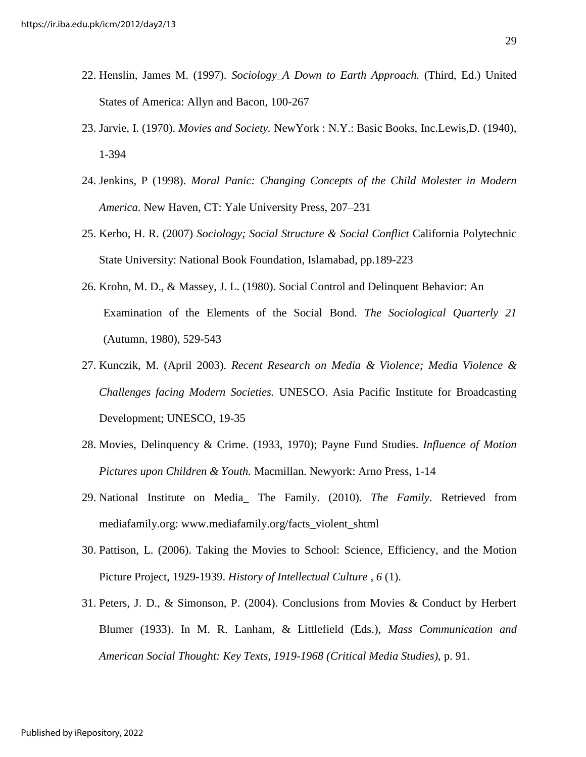- 22. Henslin, James M. (1997). *Sociology\_A Down to Earth Approach.* (Third, Ed.) United States of America: Allyn and Bacon, 100-267
- 23. Jarvie, I. (1970). *Movies and Society.* NewYork : N.Y.: Basic Books, Inc.Lewis,D. (1940), 1-394
- 24. Jenkins, P (1998). *Moral Panic: Changing Concepts of the Child Molester in Modern America*. New Haven, CT: Yale University Press, 207–231
- 25. Kerbo, H. R. (2007) *Sociology; Social Structure & Social Conflict* California Polytechnic State University: National Book Foundation, Islamabad, pp.189-223
- 26. Krohn, M. D., & Massey, J. L. (1980). Social Control and Delinquent Behavior: An Examination of the Elements of the Social Bond. *The Sociological Quarterly 21* (Autumn, 1980), 529-543
- 27. Kunczik, M. (April 2003). *Recent Research on Media & Violence; Media Violence & Challenges facing Modern Societies.* UNESCO. Asia Pacific Institute for Broadcasting Development; UNESCO, 19-35
- 28. Movies, Delinquency & Crime. (1933, 1970); Payne Fund Studies. *Influence of Motion Pictures upon Children & Youth.* Macmillan. Newyork: Arno Press, 1-14
- 29. National Institute on Media\_ The Family. (2010). *The Family*. Retrieved from mediafamily.org: [www.mediafamily.org/facts\\_violent\\_shtml](http://www.mediafamily.org/facts_violent_shtml)
- 30. Pattison, L. (2006). Taking the Movies to School: Science, Efficiency, and the Motion Picture Project, 1929-1939. *History of Intellectual Culture , 6* (1).
- 31. Peters, J. D., & Simonson, P. (2004). Conclusions from Movies & Conduct by Herbert Blumer (1933). In M. R. Lanham, & Littlefield (Eds.), *Mass Communication and American Social Thought: Key Texts, 1919-1968 (Critical Media Studies)*, p. 91.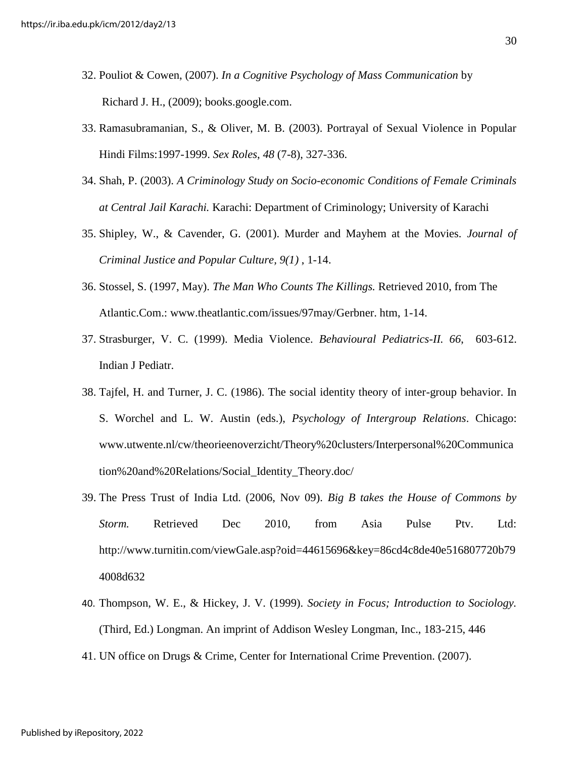- 32. Pouliot & Cowen, (2007). *In a Cognitive Psychology of Mass Communication* by [Richard J. H.](http://www.google.com/search?hl=en&sa=G&tbo=1&biw=1204&bih=668&tbm=bks&tbm=bks&q=inauthor:%22Richard+Harris%22&q=inauthor:%22Richard+Jackson+Harris%22&ei=bUCQTszZDoflrAfou6XzCw&ved=0CC4Q9Ag), (2009); books.google.com.
- 33. Ramasubramanian, S., & Oliver, M. B. (2003). Portrayal of Sexual Violence in Popular Hindi Films:1997-1999. *Sex Roles*, *48* (7-8), 327-336.
- 34. Shah, P. (2003). *A Criminology Study on Socio-economic Conditions of Female Criminals at Central Jail Karachi.* Karachi: Department of Criminology; University of Karachi
- 35. Shipley, W., & Cavender, G. (2001). Murder and Mayhem at the Movies. *Journal of Criminal Justice and Popular Culture, 9(1)* , 1-14.
- 36. Stossel, S. (1997, May). *The Man Who Counts The Killings.* Retrieved 2010, from The Atlantic.Com.: www.theatlantic.com/issues/97may/Gerbner. htm, 1-14.
- 37. Strasburger, V. C. (1999). Media Violence. *Behavioural Pediatrics-II. 66*, 603-612. Indian J Pediatr.
- 38. Tajfel, H. and Turner, J. C. (1986). The social identity theory of inter-group behavior. In S. Worchel and L. W. Austin (eds.), *Psychology of Intergroup Relations*. Chicago: www.utwente.nl/cw/theorieenoverzicht/Theory%20clusters/Interpersonal%20Communica tion%20and%20Relations/Social\_Identity\_Theory.doc/
- 39. The Press Trust of India Ltd. (2006, Nov 09). *Big B takes the House of Commons by Storm.* Retrieved Dec 2010, from Asia Pulse Ptv. Ltd: http://www.turnitin.com/viewGale.asp?oid=44615696&key=86cd4c8de40e516807720b79 4008d632
- 40. Thompson, W. E., & Hickey, J. V. (1999). *Society in Focus; Introduction to Sociology.* (Third, Ed.) Longman. An imprint of Addison Wesley Longman, Inc., 183-215, 446
- 41. UN office on Drugs & Crime, Center for International Crime Prevention. (2007).